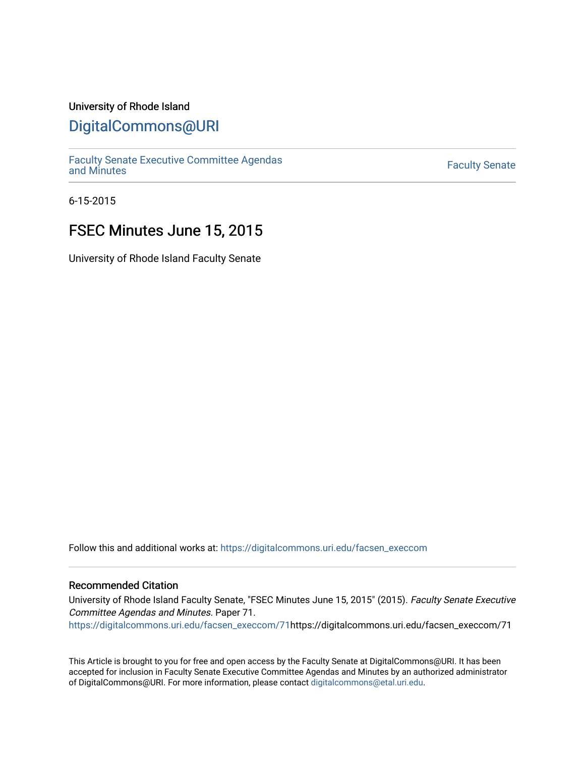### University of Rhode Island

## [DigitalCommons@URI](https://digitalcommons.uri.edu/)

[Faculty Senate Executive Committee Agendas](https://digitalcommons.uri.edu/facsen_execcom)  [and Minutes](https://digitalcommons.uri.edu/facsen_execcom) [Faculty Senate](https://digitalcommons.uri.edu/facsen) 

6-15-2015

## FSEC Minutes June 15, 2015

University of Rhode Island Faculty Senate

Follow this and additional works at: [https://digitalcommons.uri.edu/facsen\\_execcom](https://digitalcommons.uri.edu/facsen_execcom?utm_source=digitalcommons.uri.edu%2Ffacsen_execcom%2F71&utm_medium=PDF&utm_campaign=PDFCoverPages) 

#### Recommended Citation

University of Rhode Island Faculty Senate, "FSEC Minutes June 15, 2015" (2015). Faculty Senate Executive Committee Agendas and Minutes. Paper 71.

[https://digitalcommons.uri.edu/facsen\\_execcom/71h](https://digitalcommons.uri.edu/facsen_execcom/71?utm_source=digitalcommons.uri.edu%2Ffacsen_execcom%2F71&utm_medium=PDF&utm_campaign=PDFCoverPages)ttps://digitalcommons.uri.edu/facsen\_execcom/71

This Article is brought to you for free and open access by the Faculty Senate at DigitalCommons@URI. It has been accepted for inclusion in Faculty Senate Executive Committee Agendas and Minutes by an authorized administrator of DigitalCommons@URI. For more information, please contact [digitalcommons@etal.uri.edu](mailto:digitalcommons@etal.uri.edu).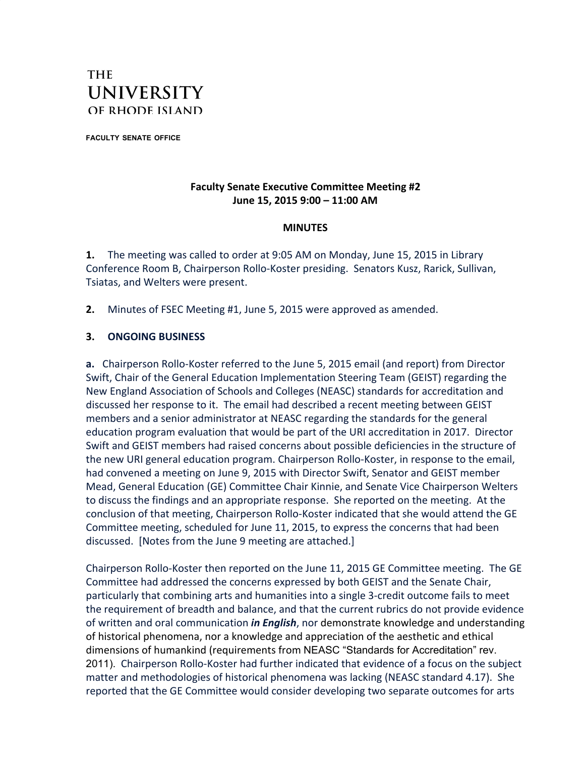# **THE UNIVERSITY** OF RHODE ISLAND

**FACULTY SENATE OFFICE**

### **Faculty Senate Executive Committee Meeting #2 June 15, 2015 9:00 – 11:00 AM**

#### **MINUTES**

**1.** The meeting was called to order at 9:05 AM on Monday, June 15, 2015 in Library Conference Room B, Chairperson Rollo-Koster presiding. Senators Kusz, Rarick, Sullivan, Tsiatas, and Welters were present.

**2.** Minutes of FSEC Meeting #1, June 5, 2015 were approved as amended.

#### **3. ONGOING BUSINESS**

**a.** Chairperson Rollo-Koster referred to the June 5, 2015 email (and report) from Director Swift, Chair of the General Education Implementation Steering Team (GEIST) regarding the New England Association of Schools and Colleges (NEASC) standards for accreditation and discussed her response to it. The email had described a recent meeting between GEIST members and a senior administrator at NEASC regarding the standards for the general education program evaluation that would be part of the URI accreditation in 2017. Director Swift and GEIST members had raised concerns about possible deficiencies in the structure of the new URI general education program. Chairperson Rollo-Koster, in response to the email, had convened a meeting on June 9, 2015 with Director Swift, Senator and GEIST member Mead, General Education (GE) Committee Chair Kinnie, and Senate Vice Chairperson Welters to discuss the findings and an appropriate response. She reported on the meeting. At the conclusion of that meeting, Chairperson Rollo-Koster indicated that she would attend the GE Committee meeting, scheduled for June 11, 2015, to express the concerns that had been discussed. [Notes from the June 9 meeting are attached.]

Chairperson Rollo-Koster then reported on the June 11, 2015 GE Committee meeting. The GE Committee had addressed the concerns expressed by both GEIST and the Senate Chair, particularly that combining arts and humanities into a single 3-credit outcome fails to meet the requirement of breadth and balance, and that the current rubrics do not provide evidence of written and oral communication *in English*, nor demonstrate knowledge and understanding of historical phenomena, nor a knowledge and appreciation of the aesthetic and ethical dimensions of humankind (requirements from NEASC "Standards for Accreditation" rev. 2011). Chairperson Rollo-Koster had further indicated that evidence of a focus on the subject matter and methodologies of historical phenomena was lacking (NEASC standard 4.17). She reported that the GE Committee would consider developing two separate outcomes for arts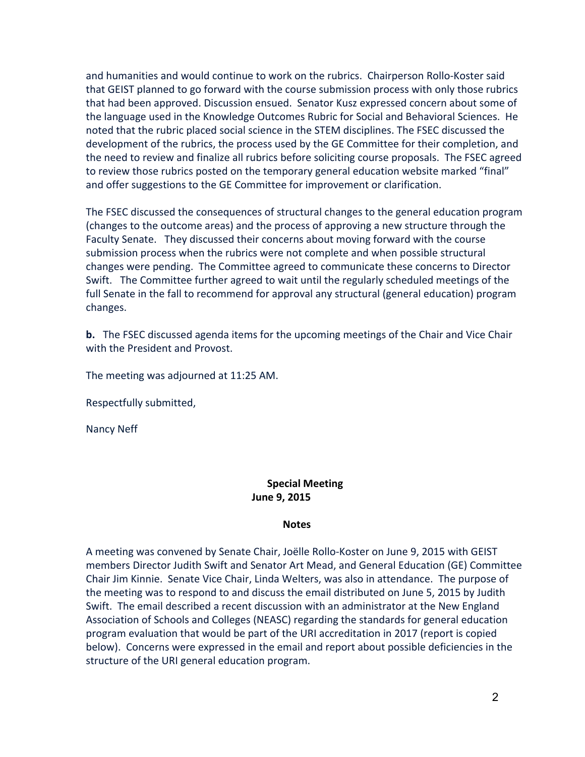and humanities and would continue to work on the rubrics. Chairperson Rollo-Koster said that GEIST planned to go forward with the course submission process with only those rubrics that had been approved. Discussion ensued. Senator Kusz expressed concern about some of the language used in the Knowledge Outcomes Rubric for Social and Behavioral Sciences. He noted that the rubric placed social science in the STEM disciplines. The FSEC discussed the development of the rubrics, the process used by the GE Committee for their completion, and the need to review and finalize all rubrics before soliciting course proposals. The FSEC agreed to review those rubrics posted on the temporary general education website marked "final" and offer suggestions to the GE Committee for improvement or clarification.

The FSEC discussed the consequences of structural changes to the general education program (changes to the outcome areas) and the process of approving a new structure through the Faculty Senate. They discussed their concerns about moving forward with the course submission process when the rubrics were not complete and when possible structural changes were pending. The Committee agreed to communicate these concerns to Director Swift. The Committee further agreed to wait until the regularly scheduled meetings of the full Senate in the fall to recommend for approval any structural (general education) program changes.

**b.** The FSEC discussed agenda items for the upcoming meetings of the Chair and Vice Chair with the President and Provost.

The meeting was adjourned at 11:25 AM.

Respectfully submitted,

Nancy Neff

### **Special Meeting June 9, 2015**

#### **Notes**

A meeting was convened by Senate Chair, Joëlle Rollo-Koster on June 9, 2015 with GEIST members Director Judith Swift and Senator Art Mead, and General Education (GE) Committee Chair Jim Kinnie. Senate Vice Chair, Linda Welters, was also in attendance. The purpose of the meeting was to respond to and discuss the email distributed on June 5, 2015 by Judith Swift. The email described a recent discussion with an administrator at the New England Association of Schools and Colleges (NEASC) regarding the standards for general education program evaluation that would be part of the URI accreditation in 2017 (report is copied below). Concerns were expressed in the email and report about possible deficiencies in the structure of the URI general education program.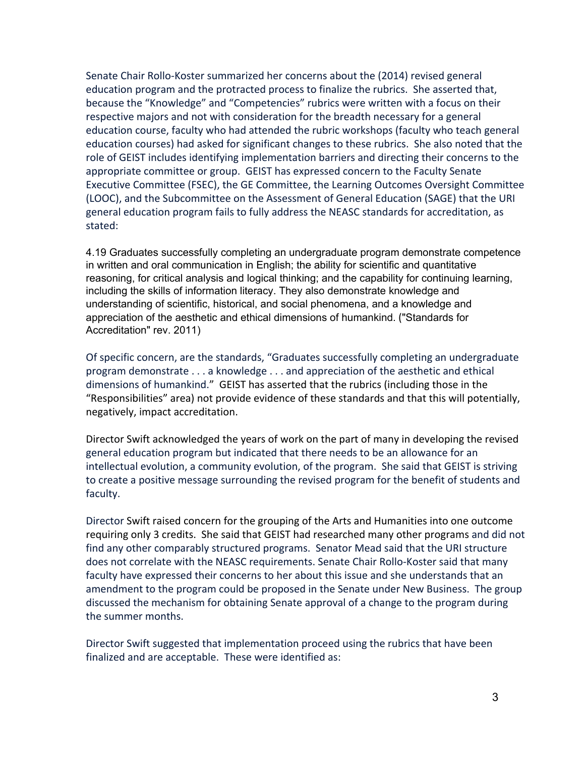Senate Chair Rollo-Koster summarized her concerns about the (2014) revised general education program and the protracted process to finalize the rubrics. She asserted that, because the "Knowledge" and "Competencies" rubrics were written with a focus on their respective majors and not with consideration for the breadth necessary for a general education course, faculty who had attended the rubric workshops (faculty who teach general education courses) had asked for significant changes to these rubrics. She also noted that the role of GEIST includes identifying implementation barriers and directing their concerns to the appropriate committee or group. GEIST has expressed concern to the Faculty Senate Executive Committee (FSEC), the GE Committee, the Learning Outcomes Oversight Committee (LOOC), and the Subcommittee on the Assessment of General Education (SAGE) that the URI general education program fails to fully address the NEASC standards for accreditation, as stated:

4.19 Graduates successfully completing an undergraduate program demonstrate competence in written and oral communication in English; the ability for scientific and quantitative reasoning, for critical analysis and logical thinking; and the capability for continuing learning, including the skills of information literacy. They also demonstrate knowledge and understanding of scientific, historical, and social phenomena, and a knowledge and appreciation of the aesthetic and ethical dimensions of humankind. ("Standards for Accreditation" rev. 2011)

Of specific concern, are the standards, "Graduates successfully completing an undergraduate program demonstrate . . . a knowledge . . . and appreciation of the aesthetic and ethical dimensions of humankind." GEIST has asserted that the rubrics (including those in the "Responsibilities" area) not provide evidence of these standards and that this will potentially, negatively, impact accreditation.

Director Swift acknowledged the years of work on the part of many in developing the revised general education program but indicated that there needs to be an allowance for an intellectual evolution, a community evolution, of the program. She said that GEIST is striving to create a positive message surrounding the revised program for the benefit of students and faculty.

Director Swift raised concern for the grouping of the Arts and Humanities into one outcome requiring only 3 credits. She said that GEIST had researched many other programs and did not find any other comparably structured programs. Senator Mead said that the URI structure does not correlate with the NEASC requirements. Senate Chair Rollo-Koster said that many faculty have expressed their concerns to her about this issue and she understands that an amendment to the program could be proposed in the Senate under New Business. The group discussed the mechanism for obtaining Senate approval of a change to the program during the summer months.

Director Swift suggested that implementation proceed using the rubrics that have been finalized and are acceptable. These were identified as: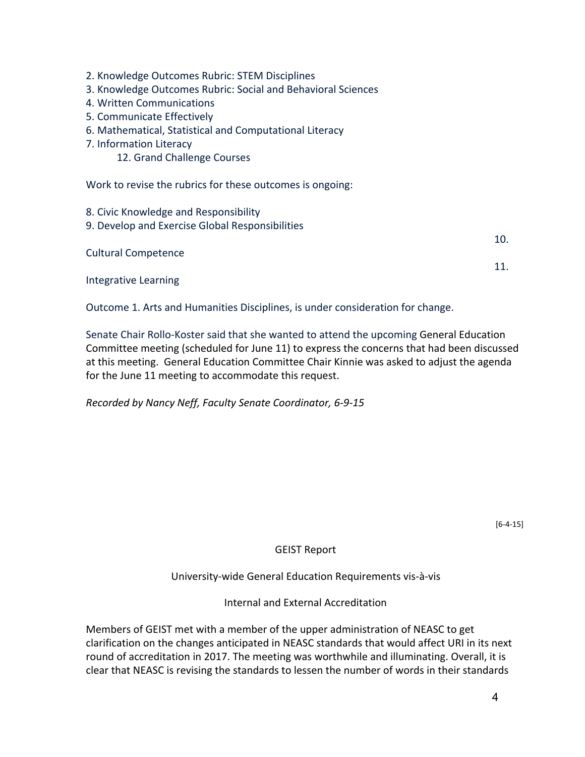- 2. Knowledge Outcomes Rubric: STEM Disciplines
- 3. Knowledge Outcomes Rubric: Social and Behavioral Sciences
- 4. Written Communications
- 5. Communicate Effectively
- 6. Mathematical, Statistical and Computational Literacy
- 7. Information Literacy
	- 12. Grand Challenge Courses

Work to revise the rubrics for these outcomes is ongoing:

8. Civic Knowledge and Responsibility 9. Develop and Exercise Global Responsibilities 10. Cultural Competence 11. Integrative Learning

Outcome 1. Arts and Humanities Disciplines, is under consideration for change.

Senate Chair Rollo-Koster said that she wanted to attend the upcoming General Education Committee meeting (scheduled for June 11) to express the concerns that had been discussed at this meeting. General Education Committee Chair Kinnie was asked to adjust the agenda for the June 11 meeting to accommodate this request.

*Recorded by Nancy Neff, Faculty Senate Coordinator, 6-9-15*

[6-4-15]

#### GEIST Report

University-wide General Education Requirements vis-à-vis

Internal and External Accreditation

Members of GEIST met with a member of the upper administration of NEASC to get clarification on the changes anticipated in NEASC standards that would affect URI in its next round of accreditation in 2017. The meeting was worthwhile and illuminating. Overall, it is clear that NEASC is revising the standards to lessen the number of words in their standards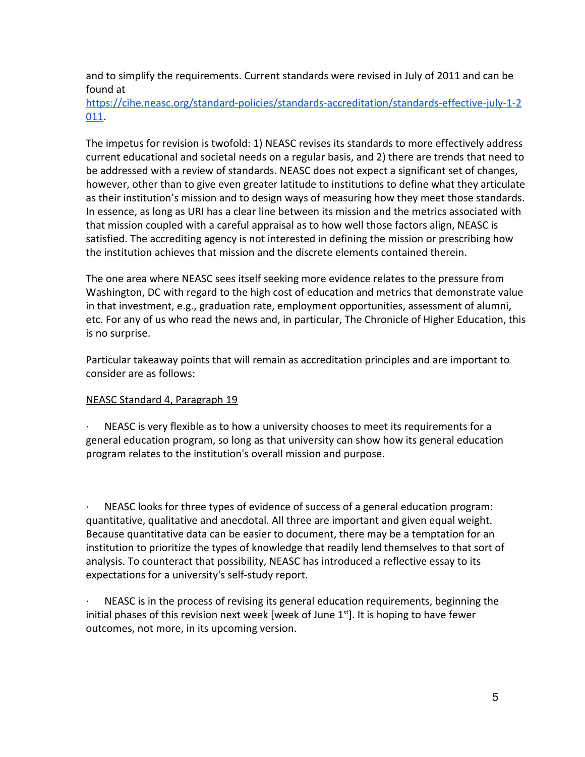and to simplify the requirements. Current standards were revised in July of 2011 and can be found a[t](https://cihe.neasc.org/standard-policies/standards-accreditation/standards-effective-july-1-2011)

[https://cihe.neasc.org/standard-policies/standards-accreditation/standards-effective-july-1-2](https://cihe.neasc.org/standard-policies/standards-accreditation/standards-effective-july-1-2011) [011](https://cihe.neasc.org/standard-policies/standards-accreditation/standards-effective-july-1-2011).

The impetus for revision is twofold: 1) NEASC revises its standards to more effectively address current educational and societal needs on a regular basis, and 2) there are trends that need to be addressed with a review of standards. NEASC does not expect a significant set of changes, however, other than to give even greater latitude to institutions to define what they articulate as their institution's mission and to design ways of measuring how they meet those standards. In essence, as long as URI has a clear line between its mission and the metrics associated with that mission coupled with a careful appraisal as to how well those factors align, NEASC is satisfied. The accrediting agency is not interested in defining the mission or prescribing how the institution achieves that mission and the discrete elements contained therein.

The one area where NEASC sees itself seeking more evidence relates to the pressure from Washington, DC with regard to the high cost of education and metrics that demonstrate value in that investment, e.g., graduation rate, employment opportunities, assessment of alumni, etc. For any of us who read the news and, in particular, The Chronicle of Higher Education, this is no surprise.

Particular takeaway points that will remain as accreditation principles and are important to consider are as follows:

#### NEASC Standard 4, Paragraph 19

NEASC is very flexible as to how a university chooses to meet its requirements for a general education program, so long as that university can show how its general education program relates to the institution's overall mission and purpose.

· NEASC looks for three types of evidence of success of a general education program: quantitative, qualitative and anecdotal. All three are important and given equal weight. Because quantitative data can be easier to document, there may be a temptation for an institution to prioritize the types of knowledge that readily lend themselves to that sort of analysis. To counteract that possibility, NEASC has introduced a reflective essay to its expectations for a university's self-study report.

NEASC is in the process of revising its general education requirements, beginning the initial phases of this revision next week [week of June 1<sup>st</sup>]. It is hoping to have fewer outcomes, not more, in its upcoming version.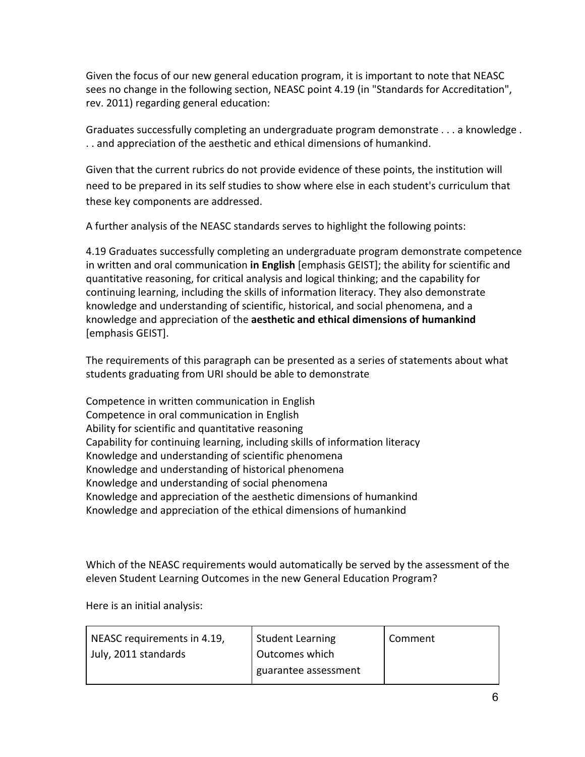Given the focus of our new general education program, it is important to note that NEASC sees no change in the following section, NEASC point 4.19 (in "Standards for Accreditation", rev. 2011) regarding general education:

Graduates successfully completing an undergraduate program demonstrate . . . a knowledge . . . and appreciation of the aesthetic and ethical dimensions of humankind.

Given that the current rubrics do not provide evidence of these points, the institution will need to be prepared in its self studies to show where else in each student's curriculum that these key components are addressed.

A further analysis of the NEASC standards serves to highlight the following points:

4.19 Graduates successfully completing an undergraduate program demonstrate competence in written and oral communication **in English** [emphasis GEIST]; the ability for scientific and quantitative reasoning, for critical analysis and logical thinking; and the capability for continuing learning, including the skills of information literacy. They also demonstrate knowledge and understanding of scientific, historical, and social phenomena, and a knowledge and appreciation of the **aesthetic and ethical dimensions of humankind** [emphasis GEIST].

The requirements of this paragraph can be presented as a series of statements about what students graduating from URI should be able to demonstrate

Competence in written communication in English Competence in oral communication in English Ability for scientific and quantitative reasoning Capability for continuing learning, including skills of information literacy Knowledge and understanding of scientific phenomena Knowledge and understanding of historical phenomena Knowledge and understanding of social phenomena Knowledge and appreciation of the aesthetic dimensions of humankind Knowledge and appreciation of the ethical dimensions of humankind

Which of the NEASC requirements would automatically be served by the assessment of the eleven Student Learning Outcomes in the new General Education Program?

Here is an initial analysis:

| NEASC requirements in 4.19, | <b>Student Learning</b> | Comment |
|-----------------------------|-------------------------|---------|
| July, 2011 standards        | Outcomes which          |         |
|                             | guarantee assessment    |         |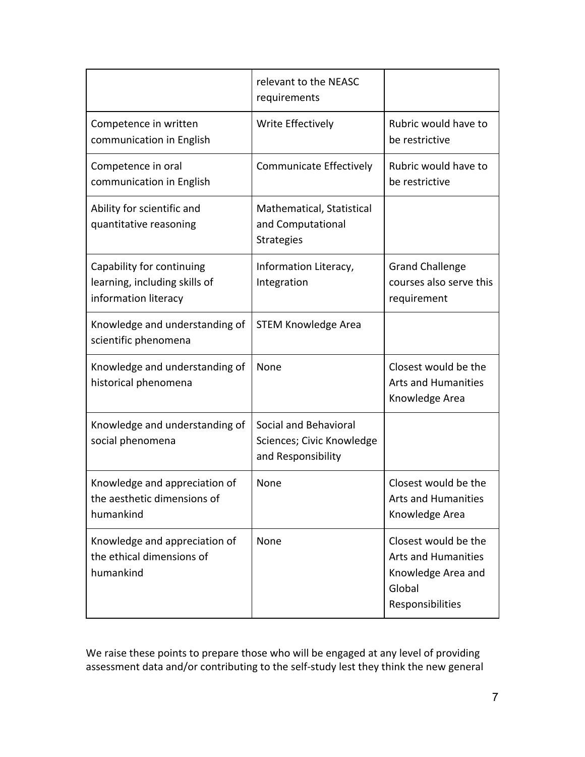|                                                                                    | relevant to the NEASC<br>requirements                                    |                                                                                                        |
|------------------------------------------------------------------------------------|--------------------------------------------------------------------------|--------------------------------------------------------------------------------------------------------|
| Competence in written<br>communication in English                                  | Write Effectively                                                        | Rubric would have to<br>be restrictive                                                                 |
| Competence in oral<br>communication in English                                     | Communicate Effectively                                                  | Rubric would have to<br>be restrictive                                                                 |
| Ability for scientific and<br>quantitative reasoning                               | Mathematical, Statistical<br>and Computational<br><b>Strategies</b>      |                                                                                                        |
| Capability for continuing<br>learning, including skills of<br>information literacy | Information Literacy,<br>Integration                                     | <b>Grand Challenge</b><br>courses also serve this<br>requirement                                       |
| Knowledge and understanding of<br>scientific phenomena                             | <b>STEM Knowledge Area</b>                                               |                                                                                                        |
| Knowledge and understanding of<br>historical phenomena                             | None                                                                     | Closest would be the<br><b>Arts and Humanities</b><br>Knowledge Area                                   |
| Knowledge and understanding of<br>social phenomena                                 | Social and Behavioral<br>Sciences; Civic Knowledge<br>and Responsibility |                                                                                                        |
| Knowledge and appreciation of<br>the aesthetic dimensions of<br>humankind          | None                                                                     | Closest would be the<br><b>Arts and Humanities</b><br>Knowledge Area                                   |
| Knowledge and appreciation of<br>the ethical dimensions of<br>humankind            | None                                                                     | Closest would be the<br><b>Arts and Humanities</b><br>Knowledge Area and<br>Global<br>Responsibilities |

We raise these points to prepare those who will be engaged at any level of providing assessment data and/or contributing to the self-study lest they think the new general